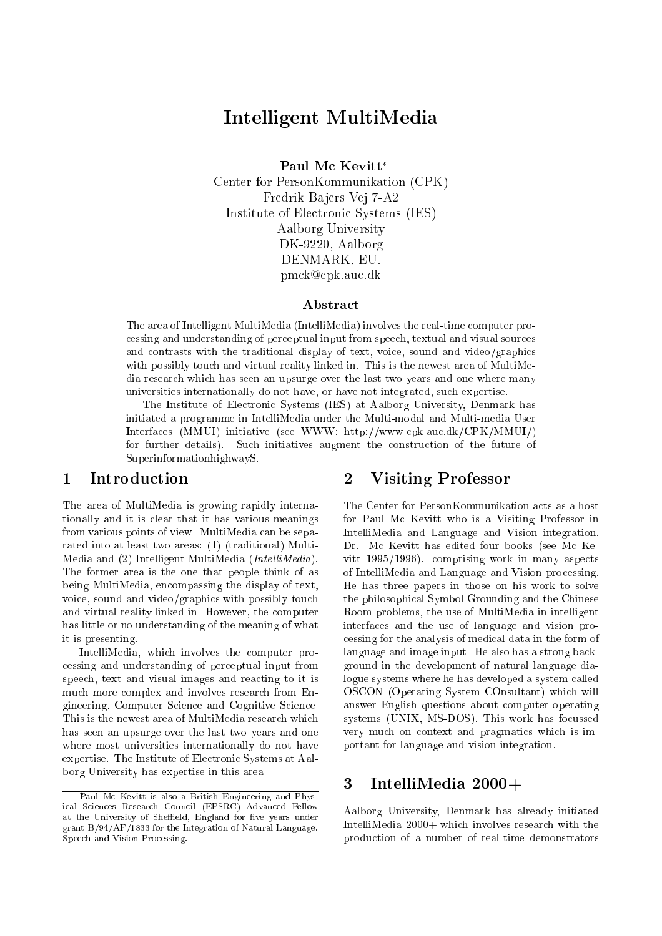# Intelligent MultiMedia

Paul Mc Kevitt<sup>\*</sup>

Center for PersonKommunikation (CPK) Fredrik Bajers Vej 7-A2 Institute of Electronic Systems (IES) Aalborg University DK-9220, Aalborg DENMARK, EU. pmck@cpk.auc.dk

## Abstract

The area of Intelligent MultiMedia (IntelliMedia) involves the real-time computer processing and understanding of perceptual input from speech, textual and visual sources and contrasts with the traditional display of text, voice, sound and video/graphics with possibly touch and virtual reality linked in. This is the newest area of MultiMedia research which has seen an upsurge over the last two years and one where many universities internationally do not have, or have not integrated, such expertise.

The Institute of Electronic Systems (IES) at Aalborg University, Denmark has initiated a programme in IntelliMedia under the Multi-modal and Multi-media User Interfaces (MMUI) initiative (see WWW: http://www.cpk.auc.dk/CPK/MMUI/) for further details). Such initiatives augment the construction of the future of SuperinformationhighwayS.

#### $\mathbf 1$ **Introduction**

The area of MultiMedia is growing rapidly internationally and it is clear that it has various meanings from various points of view. MultiMedia can be separated into at least two areas: (1) (traditional) Multi-Media and  $(2)$  Intelligent MultiMedia (*IntelliMedia*). The former area is the one that people think of as being MultiMedia, encompassing the display of text, voice, sound and video/graphics with possibly touch and virtual reality linked in. However, the computer has little or no understanding of the meaning of what it is presenting.

IntelliMedia, which involves the computer processing and understanding of perceptual input from speech, text and visual images and reacting to it is much more complex and involves research from Engineering, Computer Science and Cognitive Science. This is the newest area of MultiMedia research which has seen an upsurge over the last two years and one where most universities internationally do not have expertise. The Institute of Electronic Systems at Aalborg University has expertise in this area.

## 2 Visiting Professor

The Center for PersonKommunikation acts as a host for Paul Mc Kevitt who is a Visiting Professor in IntelliMedia and Language and Vision integration. Dr. Mc Kevitt has edited four books (see Mc Kevitt 1995/1996). comprising work in many aspects of IntelliMedia and Language and Vision processing. He has three papers in those on his work to solve the philosophical Symbol Grounding and the Chinese Room problems, the use of MultiMedia in intelligent interfaces and the use of language and vision processing for the analysis of medical data in the form of language and image input. He also has a strong background in the development of natural language dialogue systems where he has developed a system called OSCON (Operating System COnsultant) which will answer English questions about computer operating systems (UNIX, MS-DOS). This work has focussed very much on context and pragmatics which is important for language and vision integration.

## 3 IntelliMedia 2000+

Aalborg University, Denmark has already initiated IntelliMedia 2000+ which involves research with the production of a number of real-time demonstrators

Paul Mc Kevitt is also a British Engineering and Physical Sciences Research Council (EPSRC) Advanced Fellow at the University of Sheffield, England for five years under grant B/94/AF/1833 for the Integration of Natural Language, Speech and Vision Processing.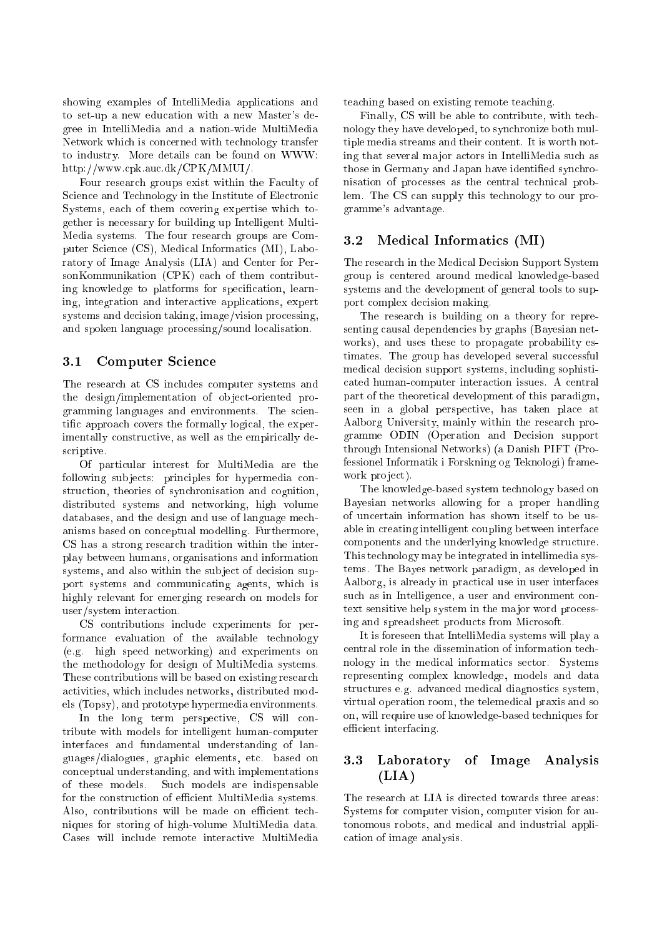showing examples of IntelliMedia applications and to set-up a new education with a new Master's degree in IntelliMedia and a nation-wide MultiMedia Network which is concerned with technology transfer to industry. More details can be found on WWW: http://www.cpk.auc.dk/CPK/MMUI/.

Four research groups exist within the Faculty of Science and Technology in the Institute of Electronic Systems, each of them covering expertise which together is necessary for building up Intelligent Multi-Media systems. The four research groups are Computer Science (CS), Medical Informatics (MI), Laboratory of Image Analysis (LIA) and Center for PersonKommunikation (CPK) each of them contributing knowledge to platforms for specification, learning, integration and interactive applications, expert systems and decision taking, image/vision processing, and spoken language processing/sound localisation.

#### $3.1$ 3.1 Computer Science

The research at CS includes computer systems and the design/implementation of object-oriented programming languages and environments. The scientic approach covers the formally logical, the experimentally constructive, as well as the empirically descriptive.

Of particular interest for MultiMedia are the following sub jects: principles for hypermedia construction, theories of synchronisation and cognition, distributed systems and networking, high volume databases, and the design and use of language mechanisms based on conceptual modelling. Furthermore, CS has a strong research tradition within the interplay between humans, organisations and information systems, and also within the subject of decision support systems and communicating agents, which is highly relevant for emerging research on models for user/system interaction.

CS contributions include experiments for performance evaluation of the available technology (e.g. high speed networking) and experiments on the methodology for design of MultiMedia systems. These contributions will be based on existing research activities, which includes networks, distributed models (Topsy), and prototype hypermedia environments.

In the long term perspective, CS will contribute with models for intelligent human-computer interfaces and fundamental understanding of languages/dialogues, graphic elements, etc. based on conceptual understanding, and with implementations of these models. Such models are indispensable for the construction of efficient MultiMedia systems. Also, contributions will be made on efficient techniques for storing of high-volume MultiMedia data. Cases will include remote interactive MultiMedia

teaching based on existing remote teaching.

Finally, CS will be able to contribute, with technology they have developed, to synchronize both multiple media streams and their content. It is worth noting that several ma jor actors in IntelliMedia such as those in Germany and Japan have identified synchronisation of processes as the central technical problem. The CS can supply this technology to our programme's advantage.

#### $3.2$ Medical Informatics (MI)

The research in the Medical Decision Support System group is centered around medical knowledge-based systems and the development of general tools to support complex decision making.

The research is building on a theory for representing causal dependencies by graphs (Bayesian networks), and uses these to propagate probability estimates. The group has developed several successful medical decision support systems, including sophisticated human-computer interaction issues. A central part of the theoretical development of this paradigm, seen in a global perspective, has taken place at Aalborg University, mainly within the research programme ODIN (Operation and Decision support through Intensional Networks) (a Danish PIFT (Professionel Informatik i Forskning og Teknologi) framework project).

The knowledge-based system technology based on Bayesian networks allowing for a proper handling of uncertain information has shown itself to be usable in creating intelligent coupling between interface components and the underlying knowledge structure. This technology may be integrated in intellimedia systems. The Bayes network paradigm, as developed in Aalborg, is already in practical use in user interfaces such as in Intelligence, a user and environment context sensitive help system in the major word processing and spreadsheet products from Microsoft.

It is foreseen that IntelliMedia systems will play a central role in the dissemination of information technology in the medical informatics sector. Systems representing complex knowledge, models and data structures e.g. advanced medical diagnostics system, virtual operation room, the telemedical praxis and so on, will require use of knowledge-based techniques for efficient interfacing.

## 3.3 Laboratory of Image Analysis  $(LIA)$

The research at LIA is directed towards three areas: Systems for computer vision, computer vision for autonomous robots, and medical and industrial application of image analysis.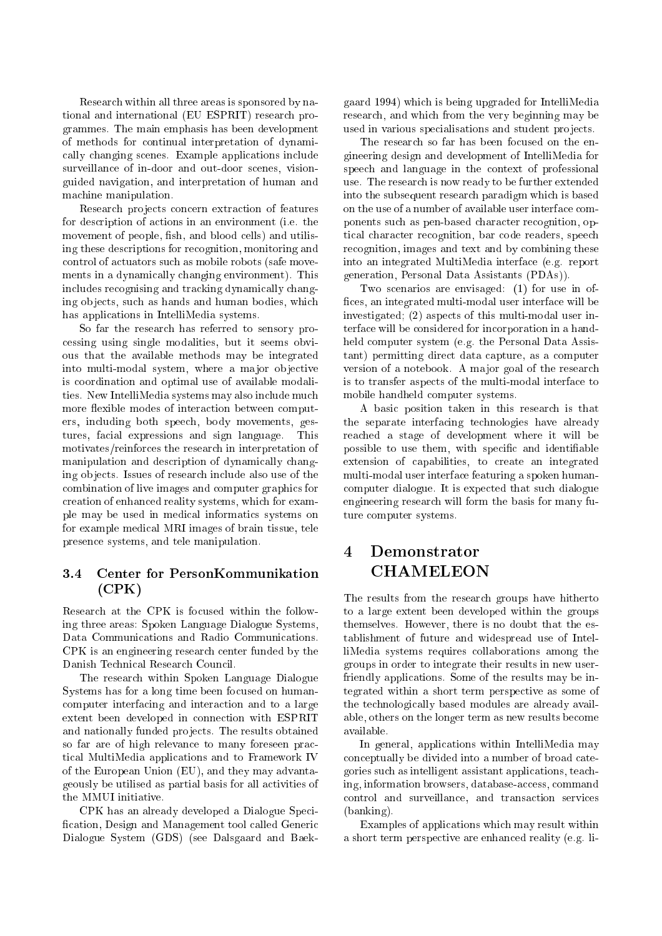Research within all three areas is sponsored by national and international (EU ESPRIT) research programmes. The main emphasis has been development of methods for continual interpretation of dynamically changing scenes. Example applications include surveillance of in-door and out-door scenes, visionguided navigation, and interpretation of human and machine manipulation.

Research projects concern extraction of features for description of actions in an environment (i.e. the movement of people, fish, and blood cells) and utilising these descriptions for recognition, monitoring and control of actuators such as mobile robots (safe movements in a dynamically changing environment). This includes recognising and tracking dynamically changing ob jects, such as hands and human bodies, which has applications in IntelliMedia systems.

So far the research has referred to sensory processing using single modalities, but it seems obvious that the available methods may be integrated into multi-modal system, where a major objective is coordination and optimal use of available modalities. New IntelliMedia systems may also include much more flexible modes of interaction between computers, including both speech, body movements, gestures, facial expressions and sign language. This motivates/reinforces the research in interpretation of manipulation and description of dynamically changing ob jects. Issues of research include also use of the combination of live images and computer graphics for creation of enhanced reality systems, which for example may be used in medical informatics systems on for example medical MRI images of brain tissue, tele presence systems, and tele manipulation.

## 3.4 Center for PersonKommunikation (CPK)

Research at the CPK is focused within the following three areas: Spoken Language Dialogue Systems, Data Communications and Radio Communications. CPK is an engineering research center funded by the Danish Technical Research Council.

The research within Spoken Language Dialogue Systems has for a long time been focused on humancomputer interfacing and interaction and to a large extent been developed in connection with ESPRIT and nationally funded projects. The results obtained so far are of high relevance to many foreseen practical MultiMedia applications and to Framework IV of the European Union (EU), and they may advantageously be utilised as partial basis for all activities of the MMUI initiative.

CPK has an already developed a Dialogue Speci fication, Design and Management tool called Generic Dialogue System (GDS) (see Dalsgaard and Baek-

gaard 1994) which is being upgraded for IntelliMedia research, and which from the very beginning may be used in various specialisations and student projects.

The research so far has been focused on the engineering design and development of IntelliMedia for speech and language in the context of professional use. The research is now ready to be further extended into the subsequent research paradigm which is based on the use of a number of available user interface components such as pen-based character recognition, optical character recognition, bar code readers, speech recognition, images and text and by combining these into an integrated MultiMedia interface (e.g. report generation, Personal Data Assistants (PDAs)).

Two scenarios are envisaged: (1) for use in of fices, an integrated multi-modal user interface will be investigated; (2) aspects of this multi-modal user interface will be considered for incorporation in a handheld computer system (e.g. the Personal Data Assistant) permitting direct data capture, as a computer version of a notebook. A major goal of the research is to transfer aspects of the multi-modal interface to mobile handheld computer systems.

A basic position taken in this research is that the separate interfacing technologies have already reached a stage of development where it will be possible to use them, with specific and identifiable extension of capabilities, to create an integrated multi-modal user interface featuring a spoken humancomputer dialogue. It is expected that such dialogue engineering research will form the basis for many future computer systems.

#### $\boldsymbol{4}$ Demonstrator CHAMELEON

The results from the research groups have hitherto to a large extent been developed within the groups themselves. However, there is no doubt that the establishment of future and widespread use of IntelliMedia systems requires collaborations among the groups in order to integrate their results in new userfriendly applications. Some of the results may be integrated within a short term perspective as some of the technologically based modules are already available, others on the longer term as new results become available.

In general, applications within IntelliMedia may conceptually be divided into a number of broad categories such as intelligent assistant applications, teaching, information browsers, database-access, command control and surveillance, and transaction services (banking).

Examples of applications which may result within a short term perspective are enhanced reality (e.g. li-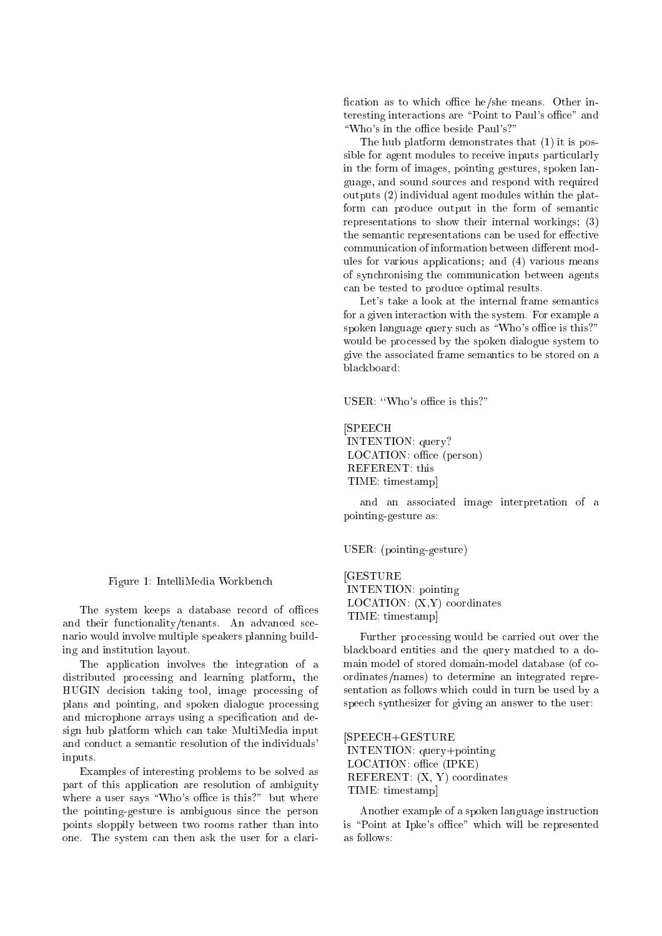fication as to which office he/she means. Other interesting interactions are "Point to Paul's office" and "Who's in the office beside Paul's?"

sible for agent modules to receive inputs particularly usee<br>en d<br>!) v<br>...be can be tested to produce optimal results. The hub platform demonstrates that  $(1)$  it is posin the form of images, pointing gestures, spoken language, and sound sources and respond with required outputs (2) individual agent modules within the platform can produce output in the form of semantic representations to show their internal workings; (3) the semantic representations can be used for effective ules for various applications; and (4) various means of synchronising the communication between agents

Let's take a look at the internal frame semantics for a given interaction with the system. For example a spoken language query such as "Who's office is this?" would be processed by the spoken dialogue system to give the associated frame semantics to be stored on a blackboard:

USER: "Who's office is this?"

### [SPEECH INTENTION: query? LOCATION: office (person) REFERENT: this TIME: timestamp]

and an associated image interpretation of a pointing-gesture as:

#### USER: (pointing-gesture)

[GESTURE INTENTION: pointing LOCATION: (X,Y) coordinates TIME: timestamp]

Further processing would be carried out over the blackboard entities and the query matched to a domain model of stored domain-model database (of coordinates/names) to determine an integrated representation as follows which could in turn be used by a speech synthesizer for giving an answer to the user:

#### [SPEECH+GESTURE

INTENTION: query+pointing LOCATION: office (IPKE) REFERENT: (X, Y) coordinates TIME: timestamp]

Another example of a spoken language instruction is "Point at Ipke's office" which will be represented as follows:

Figure 1: IntelliMedia Workbench

The system keeps a database record of offices and their functionality/tenants. An advanced scenario would involve multiple speakers planning building and institution layout.

The application involves the integration of a distributed processing and learning platform, the HUGIN decision taking tool, image processing of plans and pointing, and spoken dialogue processing and microphone arrays using a specication and design hub platform which can take MultiMedia input and conduct a semantic resolution of the individuals' inputs.

Examples of interesting problems to be solved as part of this application are resolution of ambiguity where a user says "Who's office is this?" but where the pointing-gesture is ambiguous since the person points sloppily between two rooms rather than into one. The system can then ask the user for a clari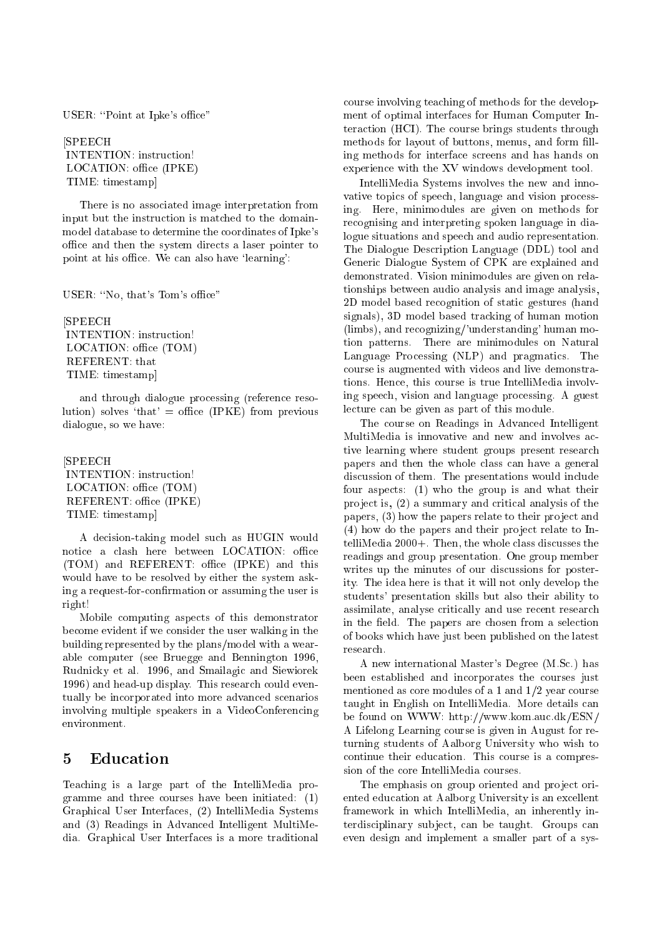USER: "Point at Ipke's office"

[SPEECH INTENTION: instruction! LOCATION: office (IPKE) TIME: timestamp]

There is no associated image interpretation from input but the instruction is matched to the domainmodel database to determine the coordinates of Ipke's office and then the system directs a laser pointer to point at his office. We can also have 'learning':

USER: "No, that's Tom's office"

[SPEECH INTENTION: instruction! LOCATION: office (TOM) REFERENT: that TIME: timestamp]

and through dialogue processing (reference resolution) solves 'that' = office (IPKE) from previous dialogue, so we have:

[SPEECH LOCATION: office (TOM) REFERENT: office (IPKE) TIME: timestamp]

A decision-taking model such as HUGIN would notice a clash here between LOCATION: office (TOM) and REFERENT: office (IPKE) and this would have to be resolved by either the system asking a request-for-confirmation or assuming the user is right!

Mobile computing aspects of this demonstrator become evident if we consider the user walking in the building represented by the plans/model with a wearable computer (see Bruegge and Bennington 1996, Rudnicky et al. 1996, and Smailagic and Siewiorek 1996) and head-up display. This research could eventually be incorporated into more advanced scenarios involving multiple speakers in a VideoConferencing environment.

# 5 Education

Teaching is a large part of the IntelliMedia programme and three courses have been initiated: (1) Graphical User Interfaces, (2) IntelliMedia Systems and (3) Readings in Advanced Intelligent MultiMedia. Graphical User Interfaces is a more traditional

course involving teaching of methods for the development of optimal interfaces for Human Computer Interaction (HCI). The course brings students through methods for layout of buttons, menus, and form filling methods for interface screens and has hands on experience with the XV windows development tool.

IntelliMedia Systems involves the new and innovative topics of speech, language and vision processing. Here, minimodules are given on methods for recognising and interpreting spoken language in dialogue situations and speech and audio representation. The Dialogue Description Language (DDL) tool and Generic Dialogue System of CPK are explained and demonstrated. Vision minimodules are given on relationships between audio analysis and image analysis, 2D model based recognition of static gestures (hand signals), 3D model based tracking of human motion (limbs), and recognizing/'understanding' human motion patterns. There are minimodules on Natural Language Processing (NLP) and pragmatics. The course is augmented with videos and live demonstrations. Hence, this course is true IntelliMedia involving speech, vision and language processing. A guest lecture can be given as part of this module.

The course on Readings in Advanced Intelligent MultiMedia is innovative and new and involves active learning where student groups present research papers and then the whole class can have a general discussion of them. The presentations would include four aspects: (1) who the group is and what their pro ject is, (2) a summary and critical analysis of the papers, (3) how the papers relate to their project and  $(4)$  how do the papers and their project relate to IntelliMedia 2000+. Then, the whole class discusses the readings and group presentation. One group member writes up the minutes of our discussions for posterity. The idea here is that it will not only develop the students' presentation skills but also their ability to assimilate, analyse critically and use recent research in the field. The papers are chosen from a selection of books which have just been published on the latest research.

A new international Master's Degree (M.Sc.) has been established and incorporates the courses just mentioned as core modules of a 1 and 1/2 year course taught in English on IntelliMedia. More details can be found on WWW: http://www.kom.auc.dk/ESN/ A Lifelong Learning course is given in August for returning students of Aalborg University who wish to continue their education. This course is a compression of the core IntelliMedia courses.

The emphasis on group oriented and project oriented education at Aalborg University is an excellent framework in which IntelliMedia, an inherently interdisciplinary sub ject, can be taught. Groups can even design and implement a smaller part of a sys